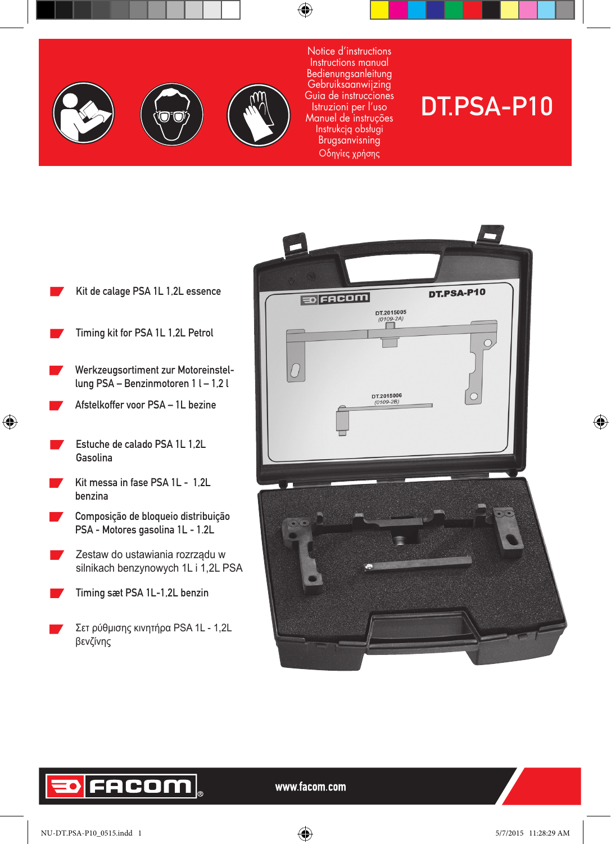





Notice d'instructions Instructions manual Bedienungsanleitung Gebruiksaanwijzing Guia de instrucciones Istruzioni per l'uso Manuel de instruções Instrukcją obsługi Brugsanvisning Οδηγίες χρήσης

# DT.PSA-P10

- Kit de calage PSA 1L 1,2L essence
- Timing kit for PSA 1L 1,2L Petrol
- Werkzeugsortiment zur Motoreinstellung PSA – Benzinmotoren 1 l – 1,2 l
- Afstelkoffer voor PSA 1L bezine
- Estuche de calado PSA 1L 1,2L Gasolina

 $\bigoplus$ 

- Kit messa in fase PSA 1L 1,2L benzina
- Composição de bloqueio distribuição PSA - Motores gasolina 1L - 1.2L
- Zestaw do ustawiania rozrządu w silnikach benzynowych 1L i 1,2L PSA
- Timing sæt PSA 1L-1,2L benzin
- Σετ ρύθμισης κινητήρα PSA 1L 1,2L βενζίνης



# FACOM

www.facom.com

⊕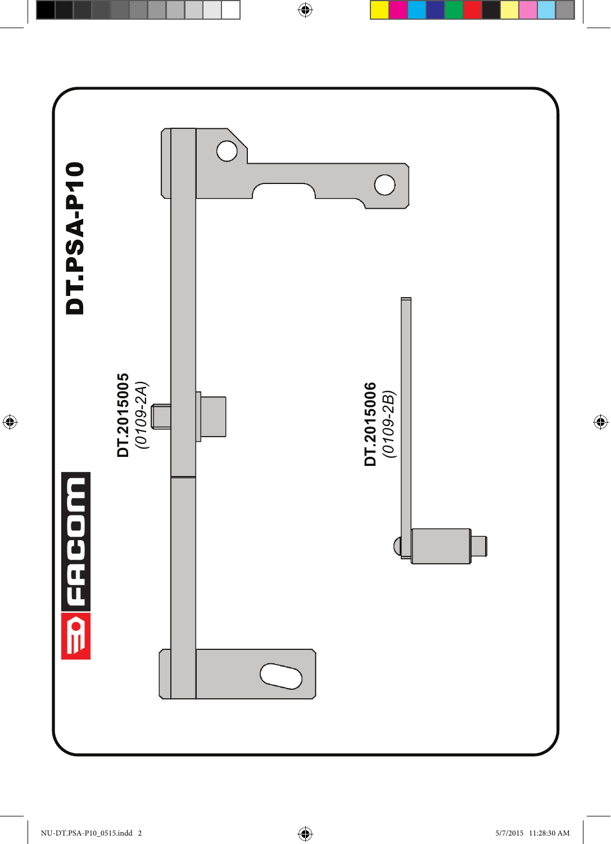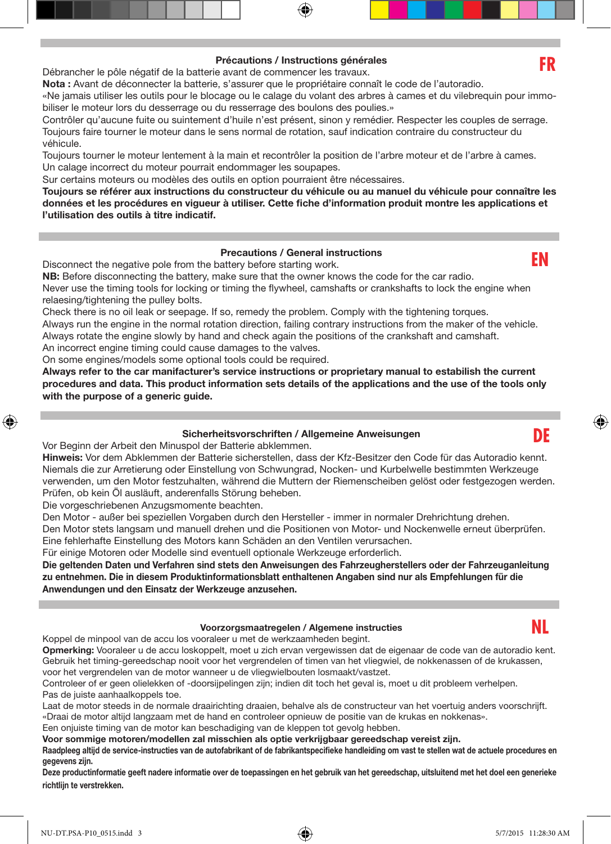## Précautions / Instructions générales

Débrancher le pôle négatif de la batterie avant de commencer les travaux.

Nota : Avant de déconnecter la batterie, s'assurer que le propriétaire connaît le code de l'autoradio.

«Ne jamais utiliser les outils pour le blocage ou le calage du volant des arbres à cames et du vilebrequin pour immobiliser le moteur lors du desserrage ou du resserrage des boulons des poulies.»

Contrôler qu'aucune fuite ou suintement d'huile n'est présent, sinon y remédier. Respecter les couples de serrage. Toujours faire tourner le moteur dans le sens normal de rotation, sauf indication contraire du constructeur du véhicule.

Toujours tourner le moteur lentement à la main et recontrôler la position de l'arbre moteur et de l'arbre à cames. Un calage incorrect du moteur pourrait endommager les soupapes.

Sur certains moteurs ou modèles des outils en option pourraient être nécessaires.

Toujours se référer aux instructions du constructeur du véhicule ou au manuel du véhicule pour connaître les données et les procédures en vigueur à utiliser. Cette fiche d'information produit montre les applications et l'utilisation des outils à titre indicatif.

### Precautions / General instructions

Disconnect the negative pole from the battery before starting work.

NB: Before disconnecting the battery, make sure that the owner knows the code for the car radio.

Never use the timing tools for locking or timing the flywheel, camshafts or crankshafts to lock the engine when relaesing/tightening the pulley bolts.

Check there is no oil leak or seepage. If so, remedy the problem. Comply with the tightening torques. Always run the engine in the normal rotation direction, failing contrary instructions from the maker of the vehicle. Always rotate the engine slowly by hand and check again the positions of the crankshaft and camshaft.

An incorrect engine timing could cause damages to the valves.

On some engines/models some optional tools could be required.

Always refer to the car manifacturer's service instructions or proprietary manual to estabilish the current procedures and data. This product information sets details of the applications and the use of the tools only with the purpose of a generic guide.

#### Sicherheitsvorschriften / Allgemeine Anweisungen

Vor Beginn der Arbeit den Minuspol der Batterie abklemmen.

Hinweis: Vor dem Abklemmen der Batterie sicherstellen, dass der Kfz-Besitzer den Code für das Autoradio kennt. Niemals die zur Arretierung oder Einstellung von Schwungrad, Nocken- und Kurbelwelle bestimmten Werkzeuge verwenden, um den Motor festzuhalten, während die Muttern der Riemenscheiben gelöst oder festgezogen werden. Prüfen, ob kein Öl ausläuft, anderenfalls Störung beheben.

Die vorgeschriebenen Anzugsmomente beachten.

⊕

Den Motor - außer bei speziellen Vorgaben durch den Hersteller - immer in normaler Drehrichtung drehen. Den Motor stets langsam und manuell drehen und die Positionen von Motor- und Nockenwelle erneut überprüfen. Eine fehlerhafte Einstellung des Motors kann Schäden an den Ventilen verursachen.

Für einige Motoren oder Modelle sind eventuell optionale Werkzeuge erforderlich.

Die geltenden Daten und Verfahren sind stets den Anweisungen des Fahrzeugherstellers oder der Fahrzeuganleitung zu entnehmen. Die in diesem Produktinformationsblatt enthaltenen Angaben sind nur als Empfehlungen für die Anwendungen und den Einsatz der Werkzeuge anzusehen.

#### Voorzorgsmaatregelen / Algemene instructies

Koppel de minpool van de accu los vooraleer u met de werkzaamheden begint.

Opmerking: Vooraleer u de accu loskoppelt, moet u zich ervan vergewissen dat de eigenaar de code van de autoradio kent. Gebruik het timing-gereedschap nooit voor het vergrendelen of timen van het vliegwiel, de nokkenassen of de krukassen, voor het vergrendelen van de motor wanneer u de vliegwielbouten losmaakt/vastzet.

Controleer of er geen olielekken of -doorsijpelingen zijn; indien dit toch het geval is, moet u dit probleem verhelpen. Pas de juiste aanhaalkoppels toe.

Laat de motor steeds in de normale draairichting draaien, behalve als de constructeur van het voertuig anders voorschrijft. «Draai de motor altijd langzaam met de hand en controleer opnieuw de positie van de krukas en nokkenas».

Een onjuiste timing van de motor kan beschadiging van de kleppen tot gevolg hebben.

Voor sommige motoren/modellen zal misschien als optie verkrijgbaar gereedschap vereist zijn.

Raadpleeg altijd de service-instructies van de autofabrikant of de fabrikantspecifieke handleiding om vast te stellen wat de actuele procedures en gegevens zijn.

Deze productinformatie geeft nadere informatie over de toepassingen en het gebruik van het gereedschap, uitsluitend met het doel een generieke richtlijn te verstrekken.





**EN**

**DE**

⊕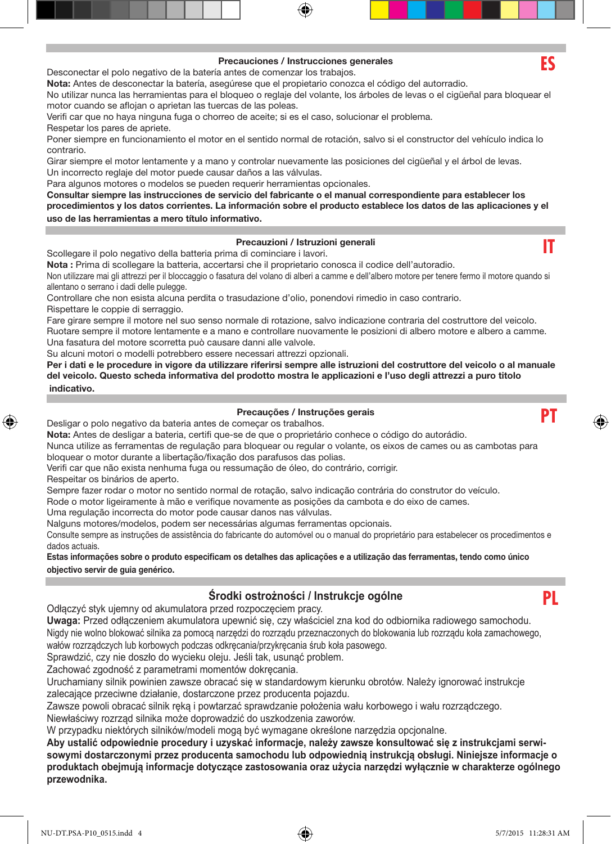#### Precauciones / Instrucciones generales

Desconectar el polo negativo de la batería antes de comenzar los trabajos.

Nota: Antes de desconectar la batería, asegúrese que el propietario conozca el código del autorradio.

No utilizar nunca las herramientas para el bloqueo o reglaje del volante, los árboles de levas o el cigüeñal para bloquear el motor cuando se aflojan o aprietan las tuercas de las poleas.

Verifi car que no haya ninguna fuga o chorreo de aceite; si es el caso, solucionar el problema. Respetar los pares de apriete.

Poner siempre en funcionamiento el motor en el sentido normal de rotación, salvo si el constructor del vehículo indica lo contrario.

Girar siempre el motor lentamente y a mano y controlar nuevamente las posiciones del cigüeñal y el árbol de levas. Un incorrecto reglaje del motor puede causar daños a las válvulas.

Para algunos motores o modelos se pueden requerir herramientas opcionales.

Consultar siempre las instrucciones de servicio del fabricante o el manual correspondiente para establecer los procedimientos y los datos corrientes. La información sobre el producto establece los datos de las aplicaciones y el uso de las herramientas a mero título informativo.

#### Precauzioni / Istruzioni generali

Scollegare il polo negativo della batteria prima di cominciare i lavori.

Nota : Prima di scollegare la batteria, accertarsi che il proprietario conosca il codice dell'autoradio.

Non utilizzare mai gli attrezzi per il bloccaggio o fasatura del volano di alberi a camme e dell'albero motore per tenere fermo il motore quando si allentano o serrano i dadi delle pulegge.

Controllare che non esista alcuna perdita o trasudazione d'olio, ponendovi rimedio in caso contrario. Rispettare le coppie di serraggio.

Fare girare sempre il motore nel suo senso normale di rotazione, salvo indicazione contraria del costruttore del veicolo. Ruotare sempre il motore lentamente e a mano e controllare nuovamente le posizioni di albero motore e albero a camme. Una fasatura del motore scorretta può causare danni alle valvole.

Su alcuni motori o modelli potrebbero essere necessari attrezzi opzionali.

Per i dati e le procedure in vigore da utilizzare riferirsi sempre alle istruzioni del costruttore del veicolo o al manuale del veicolo. Questo scheda informativa del prodotto mostra le applicazioni e l'uso degli attrezzi a puro titolo indicativo.

#### Precauções / Instruções gerais

Desligar o polo negativo da bateria antes de começar os trabalhos.

Nota: Antes de desligar a bateria, certifi que-se de que o proprietário conhece o código do autorádio.

Nunca utilize as ferramentas de regulação para bloquear ou regular o volante, os eixos de cames ou as cambotas para bloquear o motor durante a libertação/fixação dos parafusos das polias.

Verifi car que não exista nenhuma fuga ou ressumação de óleo, do contrário, corrigir.

Respeitar os binários de aperto.

⊕

Sempre fazer rodar o motor no sentido normal de rotação, salvo indicação contrária do construtor do veículo.

Rode o motor ligeiramente à mão e verifique novamente as posições da cambota e do eixo de cames.

Uma regulação incorrecta do motor pode causar danos nas válvulas.

Nalguns motores/modelos, podem ser necessárias algumas ferramentas opcionais.

Consulte sempre as instruções de assistência do fabricante do automóvel ou o manual do proprietário para estabelecer os procedimentos e dados actuais.

Estas informações sobre o produto especificam os detalhes das aplicações e a utilização das ferramentas, tendo como único objectivo servir de guia genérico.

# **Środki ostrożności / Instrukcje ogólne**

Odłączyć styk ujemny od akumulatora przed rozpoczęciem pracy.

**Uwaga:** Przed odłączeniem akumulatora upewnić się, czy właściciel zna kod do odbiornika radiowego samochodu. Nigdy nie wolno blokować silnika za pomocą narzędzi do rozrządu przeznaczonych do blokowania lub rozrządu koła zamachowego, wałów rozrządczych lub korbowych podczas odkręcania/przykręcania śrub koła pasowego.

Sprawdzić, czy nie doszło do wycieku oleju. Jeśli tak, usunąć problem.

Zachować zgodność z parametrami momentów dokręcania.

Uruchamiany silnik powinien zawsze obracać się w standardowym kierunku obrotów. Należy ignorować instrukcje zalecające przeciwne działanie, dostarczone przez producenta pojazdu.

Zawsze powoli obracać silnik ręką i powtarzać sprawdzanie położenia wału korbowego i wału rozrządczego.

Niewłaściwy rozrząd silnika może doprowadzić do uszkodzenia zaworów.

W przypadku niektórych silników/modeli mogą być wymagane określone narzędzia opcjonalne.

**Aby ustalić odpowiednie procedury i uzyskać informacje, należy zawsze konsultować się z instrukcjami serwisowymi dostarczonymi przez producenta samochodu lub odpowiednią instrukcją obsługi. Niniejsze informacje o produktach obejmują informacje dotyczące zastosowania oraz użycia narzędzi wyłącznie w charakterze ogólnego przewodnika.**





**IT**

**PT**



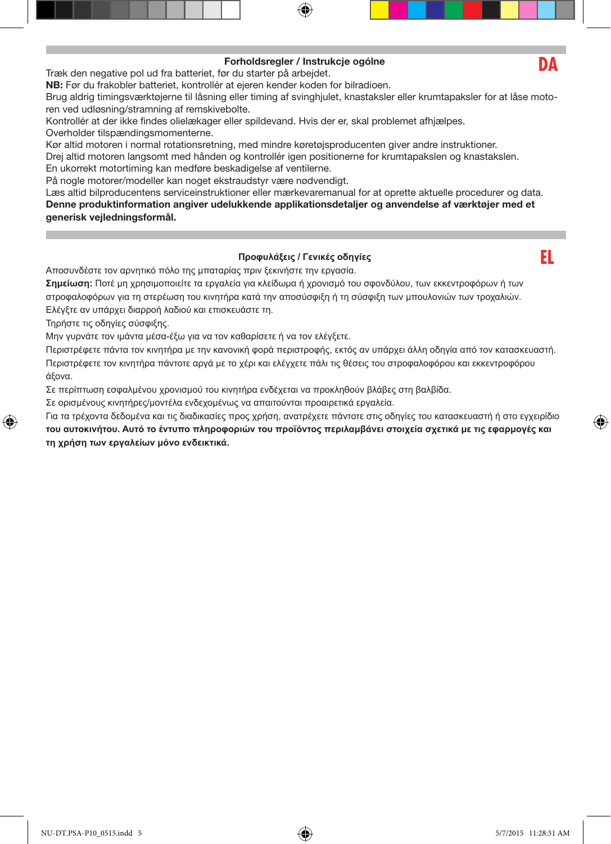# Forholdsregler / Instrukcje ogólne

Træk den negative pol ud fra batteriet, før du starter på arbejdet.

NB: Før du frakobler batteriet, kontrollér at ejeren kender koden for bilradioen.

Brug aldrig timingsværktøjerne til låsning eller timing af svinghjulet, knastaksler eller krumtapaksler for at låse motoren ved udløsning/stramning af remskivebolte.

Kontrollér at der ikke findes olielækager eller spildevand. Hvis der er, skal problemet afhjælpes. Overholder tilspændingsmomenterne.

Kør altid motoren i normal rotationsretning, med mindre køretøjsproducenten giver andre instruktioner. Drej altid motoren langsomt med hånden og kontrollér igen positionerne for krumtapakslen og knastakslen. En ukorrekt motortiming kan medføre beskadigelse af ventilerne.

På nogle motorer/modeller kan noget ekstraudstyr være nødvendigt.

Læs altid bilproducentens serviceinstruktioner eller mærkevaremanual for at oprette aktuelle procedurer og data. Denne produktinformation angiver udelukkende applikationsdetaljer og anvendelse af værktøjer med et generisk vejledningsformål.

# **Προφυλάξεις / Γενικές οδηγίες**

Αποσυνδέστε τον αρνητικό πόλο της μπαταρίας πριν ξεκινήστε την εργασία.

**Σημείωση:** Ποτέ μη χρησιμοποιείτε τα εργαλεία για κλείδωμα ή χρονισμό του σφονδύλου, των εκκεντροφόρων ή των στροφαλοφόρων για τη στερέωση του κινητήρα κατά την αποσύσφιξη ή τη σύσφιξη των μπουλονιών των τροχαλιών.

Ελέγξτε αν υπάρχει διαρροή λαδιού και επισκευάστε τη.

Τηρήστε τις οδηγίες σύσφιξης.

↔

Μην γυρνάτε τον ιμάντα μέσα-έξω για να τον καθαρίσετε ή να τον ελέγξετε.

Περιστρέφετε πάντα τον κινητήρα με την κανονική φορά περιστροφής, εκτός αν υπάρχει άλλη οδηγία από τον κατασκευαστή. Περιστρέφετε τον κινητήρα πάντοτε αργά με το χέρι και ελέγχετε πάλι τις θέσεις του στροφαλοφόρου και εκκεντροφόρου άξονα.

Σε περίπτωση εσφαλμένου χρονισμού του κινητήρα ενδέχεται να προκληθούν βλάβες στη βαλβίδα.

Σε ορισμένους κινητήρες/μοντέλα ενδεχομένως να απαιτούνται προαιρετικά εργαλεία.

Για τα τρέχοντα δεδομένα και τις διαδικασίες προς χρήση, ανατρέχετε πάντοτε στις οδηγίες του κατασκευαστή ή στο εγχειρίδιο **του αυτοκινήτου. Αυτό το έντυπο πληροφοριών του προϊόντος περιλαμβάνει στοιχεία σχετικά με τις εφαρμογές και τη χρήση των εργαλείων μόνο ενδεικτικά.**

**DA**

**EL**

⊕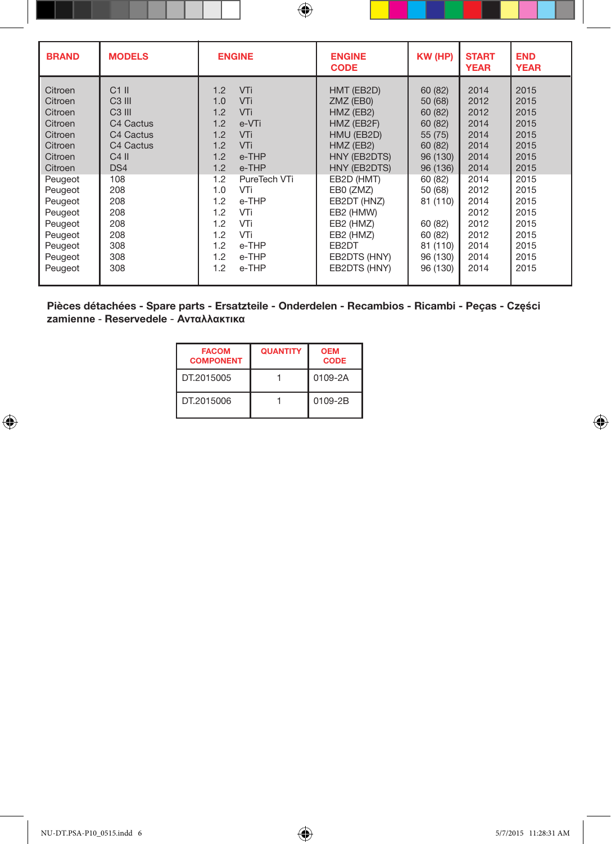| <b>BRAND</b>                                                                                                                                                                            | <b>MODELS</b>                                                                                                                                                                               | <b>ENGINE</b>                                                                                                                                                                                                                                                     | <b>ENGINE</b><br><b>CODE</b>                                                                                                                                                                                                            | KW (HP)                                                                                                                                                                            | <b>START</b><br><b>YEAR</b>                                                                                                          | <b>END</b><br><b>YEAR</b>                                                                                                            |
|-----------------------------------------------------------------------------------------------------------------------------------------------------------------------------------------|---------------------------------------------------------------------------------------------------------------------------------------------------------------------------------------------|-------------------------------------------------------------------------------------------------------------------------------------------------------------------------------------------------------------------------------------------------------------------|-----------------------------------------------------------------------------------------------------------------------------------------------------------------------------------------------------------------------------------------|------------------------------------------------------------------------------------------------------------------------------------------------------------------------------------|--------------------------------------------------------------------------------------------------------------------------------------|--------------------------------------------------------------------------------------------------------------------------------------|
| Citroen<br>Citroen<br>Citroen<br>Citroen<br>Citroen<br>Citroen<br>Citroen<br>Citroen<br>Peugeot<br>Peugeot<br>Peugeot<br>Peugeot<br>Peugeot<br>Peugeot<br>Peugeot<br>Peugeot<br>Peugeot | $C1$ II<br>$C3$ III<br>$C3$ III<br>C <sub>4</sub> Cactus<br>C <sub>4</sub> Cactus<br>C <sub>4</sub> Cactus<br>$C4$ II<br>DS4<br>108<br>208<br>208<br>208<br>208<br>208<br>308<br>308<br>308 | VTi<br>1.2<br>VTi<br>1.0<br>VTi<br>1.2<br>1.2<br>e-VTi<br>VTi<br>1.2<br>VTi<br>1.2<br>e-THP<br>1.2<br>1.2<br>e-THP<br>1.2<br>PureTech VTi<br>1.0<br>VTi<br>1.2<br>e-THP<br>1.2<br>VTi<br>1.2<br>VTi<br>VTi<br>1.2<br>e-THP<br>1.2<br>1.2<br>e-THP<br>1.2<br>e-THP | HMT (EB2D)<br>ZMZ (EB0)<br>HMZ (EB2)<br>HMZ (EB2F)<br>HMU (EB2D)<br>HMZ (EB2)<br>HNY (EB2DTS)<br>HNY (EB2DTS)<br>EB2D (HMT)<br>EB0 (ZMZ)<br>EB2DT (HNZ)<br>EB2 (HMW)<br>EB2 (HMZ)<br>EB2 (HMZ)<br>EB2DT<br>EB2DTS (HNY)<br>EB2DTS (HNY) | 60 (82)<br>50 (68)<br>60 (82)<br>60 (82)<br>55 (75)<br>60 (82)<br>96 (130)<br>96 (136)<br>60 (82)<br>50 (68)<br>81 (110)<br>60 (82)<br>60 (82)<br>81 (110)<br>96 (130)<br>96 (130) | 2014<br>2012<br>2012<br>2014<br>2014<br>2014<br>2014<br>2014<br>2014<br>2012<br>2014<br>2012<br>2012<br>2012<br>2014<br>2014<br>2014 | 2015<br>2015<br>2015<br>2015<br>2015<br>2015<br>2015<br>2015<br>2015<br>2015<br>2015<br>2015<br>2015<br>2015<br>2015<br>2015<br>2015 |
|                                                                                                                                                                                         |                                                                                                                                                                                             |                                                                                                                                                                                                                                                                   |                                                                                                                                                                                                                                         |                                                                                                                                                                                    |                                                                                                                                      |                                                                                                                                      |

Pièces détachées - Spare parts - Ersatzteile - Onderdelen - Recambios - Ricambi - Peças - **Części zamienne** - Reservedele - **Ανταλλακτικα**

| <b>FACOM</b><br><b>COMPONENT</b> | <b>QUANTITY</b> | <b>OEM</b><br><b>CODE</b> |
|----------------------------------|-----------------|---------------------------|
| DT.2015005                       |                 | 0109-2A                   |
| DT.2015006                       |                 | 0109-2B                   |

 $\bigoplus$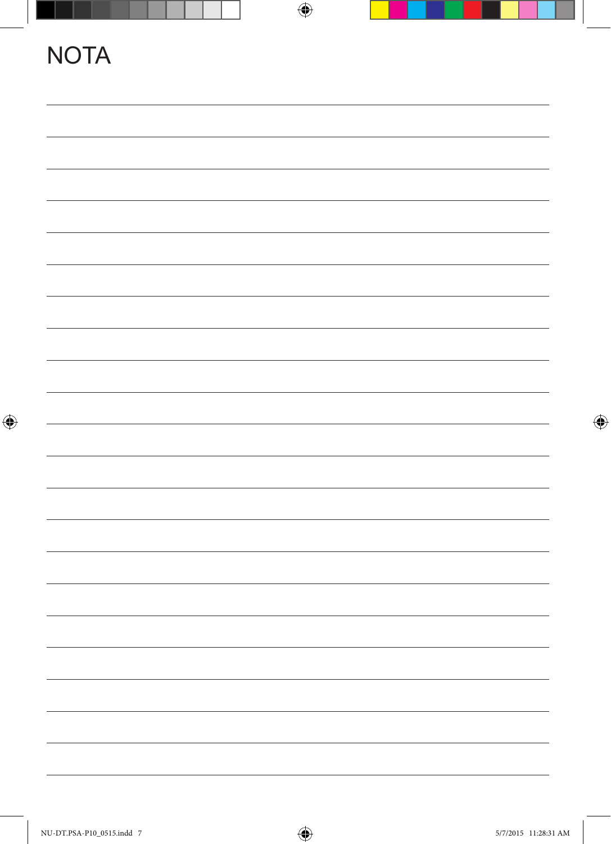|             |             | $\bigoplus$ |  |
|-------------|-------------|-------------|--|
|             | <b>NOTA</b> |             |  |
|             |             |             |  |
|             |             |             |  |
|             |             |             |  |
|             |             |             |  |
|             |             |             |  |
|             |             |             |  |
|             |             |             |  |
|             |             |             |  |
|             |             |             |  |
| $\bigoplus$ |             |             |  |
|             |             |             |  |
|             |             |             |  |
|             |             |             |  |
|             |             |             |  |
|             |             |             |  |
|             |             |             |  |
|             |             |             |  |
|             |             |             |  |
|             |             |             |  |